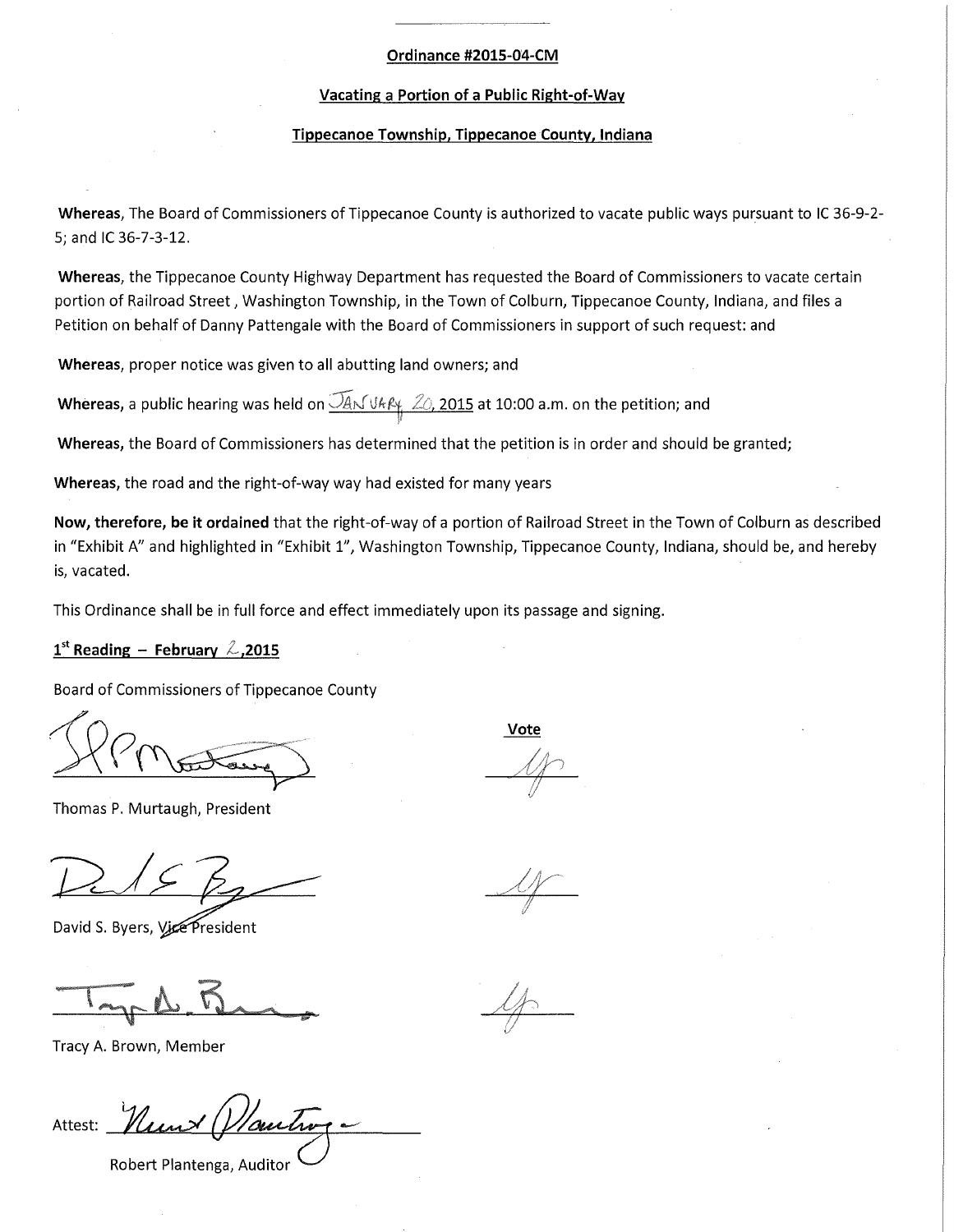### **Ordinance #2015-04-CM**

#### **Vacating a Portion of a Public Right-of-Way**

#### **Tippecanoe Township, Tippecanoe County, Indiana**

**Whereas,** The Board of Commissioners of Tippecanoe County is authorized to vacate public ways pursuant to IC 36-9-2- 5; and IC 36-7-3-12.

**Whereas,** the Tippecanoe County Highway Department has requested the Board of Commissioners to vacate certain portion of Railroad Street, Washington Township, in the Town of Colburn, Tippecanoe County, Indiana, and files a Petition on behalf of Danny Pattengale with the Board of Commissioners in support of such request: and

**Whereas,** proper notice was given to all abutting land owners; and

Whereas, a public hearing was held on  $\sqrt{4}$   $\sqrt{4}$   $\sqrt{4}$   $\sqrt{2}$   $\sqrt{2}$  at 10:00 a.m. on the petition; and

**Whereas,** the Board of Commissioners has determined that the petition is in order and should be granted;

**Whereas,** the road and the right-of-way way had existed for many years

**Now, therefore, be it ordained** that the right-of-way of a portion of Railroad Street in the Town of Colburn as described in "Exhibit A" and highlighted in "Exhibit 1", Washington Township, Tippecanoe County, Indiana, should be, and hereby is, vacated.

This Ordinance shall be in full force and effect immediately upon its passage and signing.

### $1<sup>st</sup>$  Reading - February 2,2015

Board of Commissioners of Tippecanoe County

Thomas P. Murtaugh, President

David S. Byers, Vice President

Tracy A. Brown, Member

Attest:  $\blacktriangleright$ 

Robert Plantenga, Auditor

Vote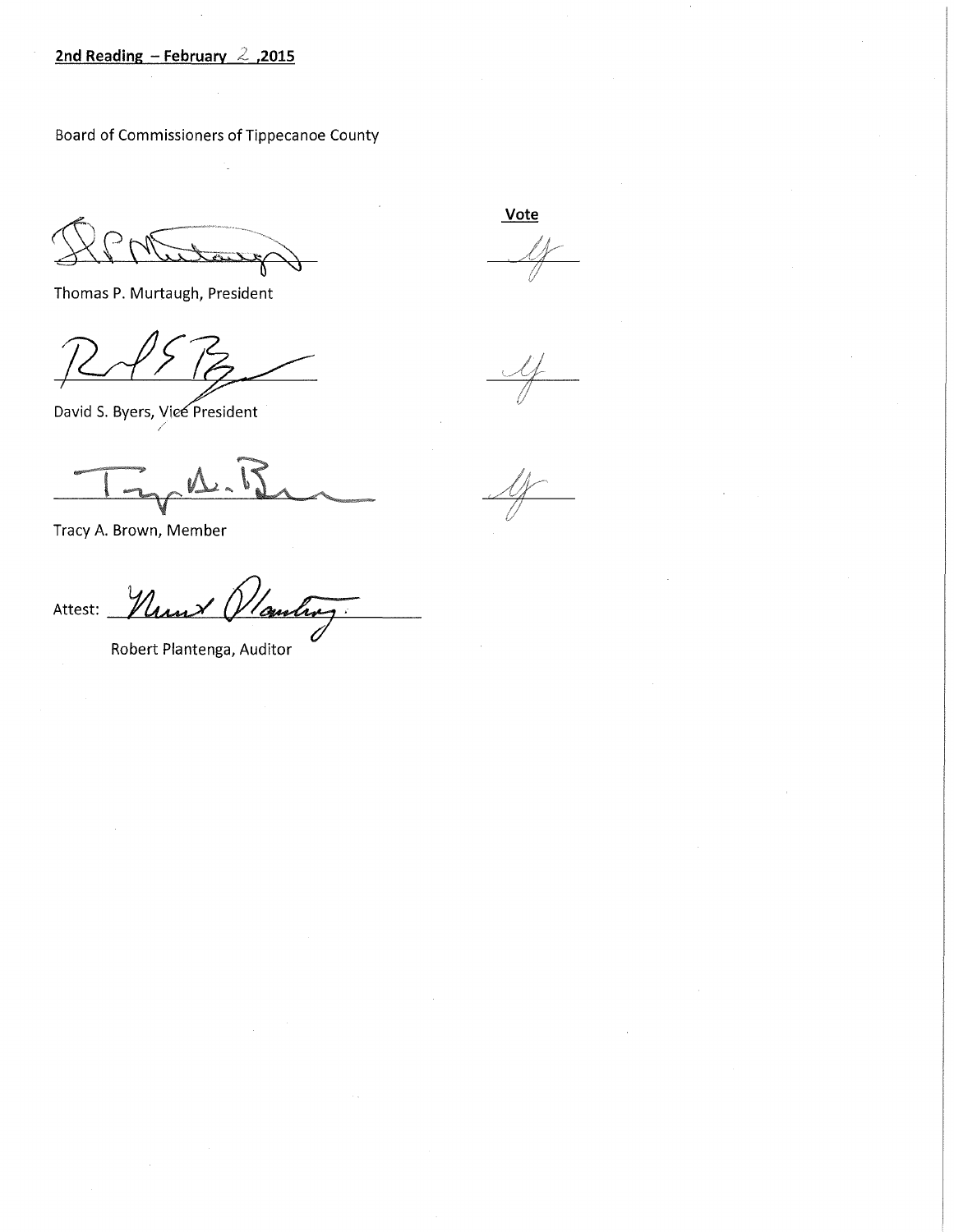Board of Commissioners of Tippecanoe County

Thomas P. Murtaugh, President

David S. Byers, Vice President

Tracy A. Brown, Member

Attest: <u>Munt Planting</u>

Robert Plantenga, Auditor

Vote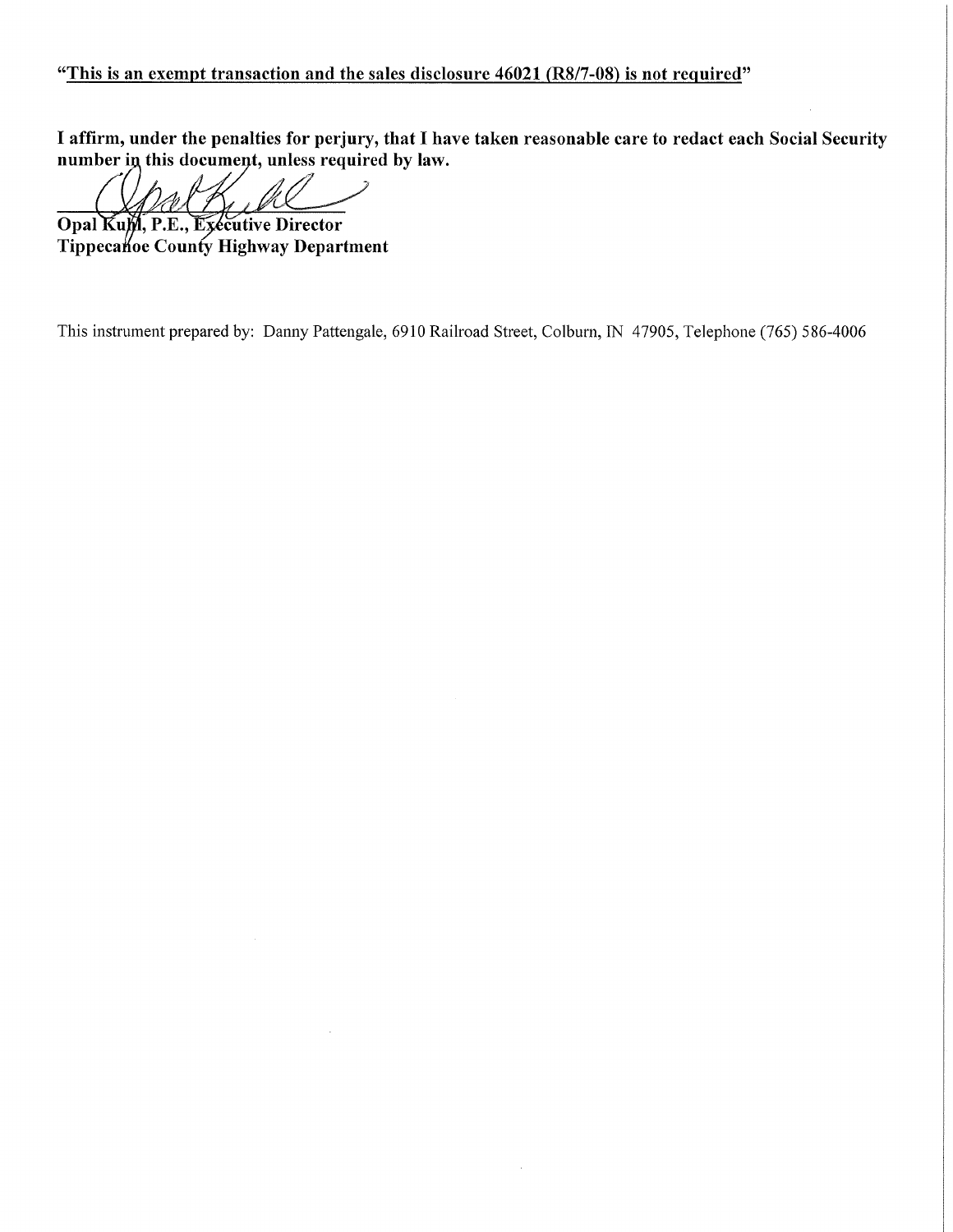# "This is an exempt transaction and the sales disclosure 46021 (R8/7-08) is not required"

I affirm, under the penalties for perjury, that I have taken reasonable care to redact each Social Security number in this document, unless required by law. es for perjury, that I have<br>unless required by law.<br>Allection

Tippecanoe County Highway Department

This instrument prepared by: Danny Pattengale, 6910 Railroad Street, Colburn, IN 47905, Telephone (765) 586-4006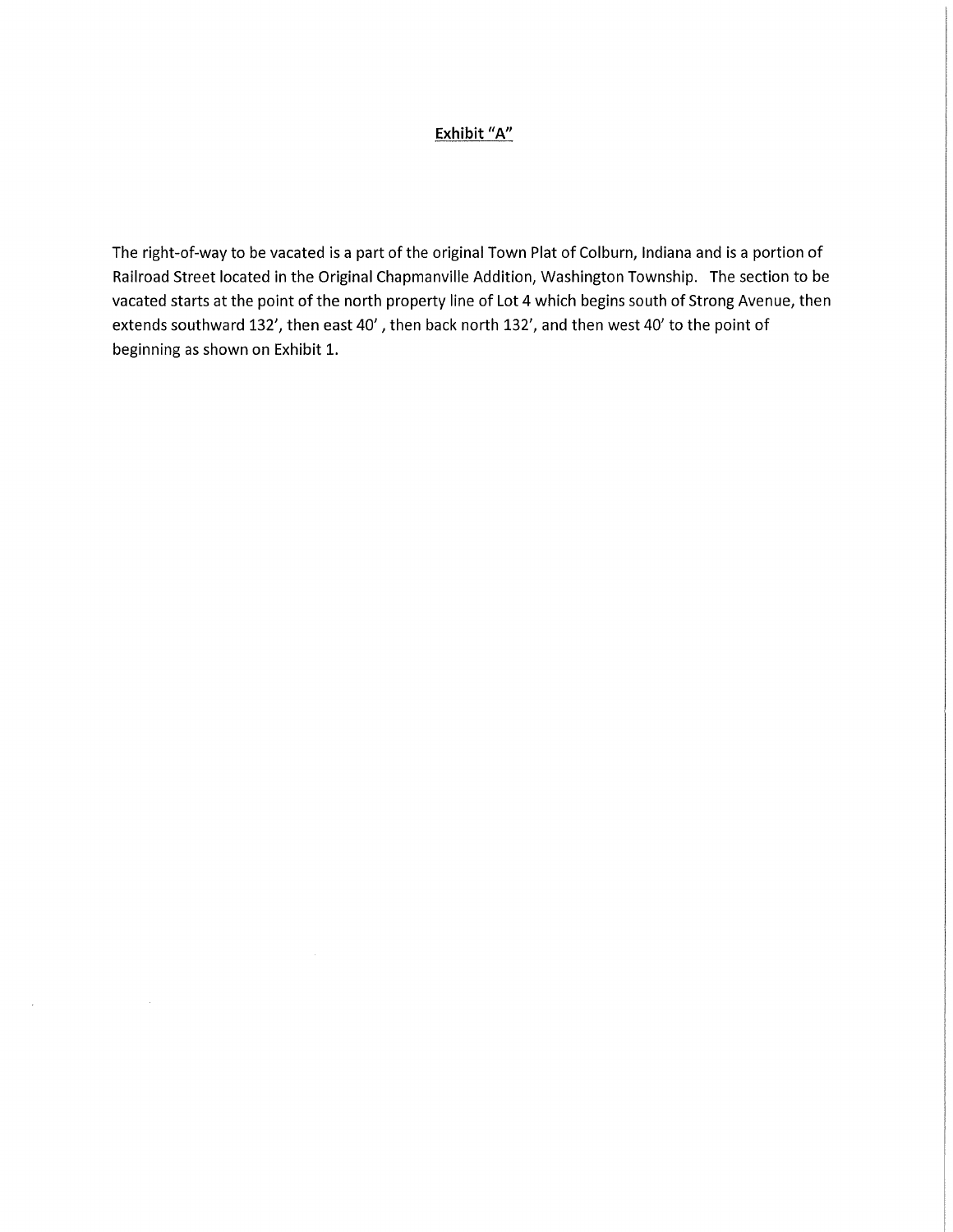## **Exhibit "A"**

The right-of-way to be vacated is a part of the original Town Plat of Colburn, Indiana and is a portion of Railroad Street located in the Original Chapmanville Addition, Washington Township. The section to be vacated starts at the point of the north property line of Lot 4 which begins south of Strong Avenue, then extends southward 132', then east 40', then back north 132', and then west 40' to the point of beginning as shown on Exhibit 1.

 $\mathcal{A}$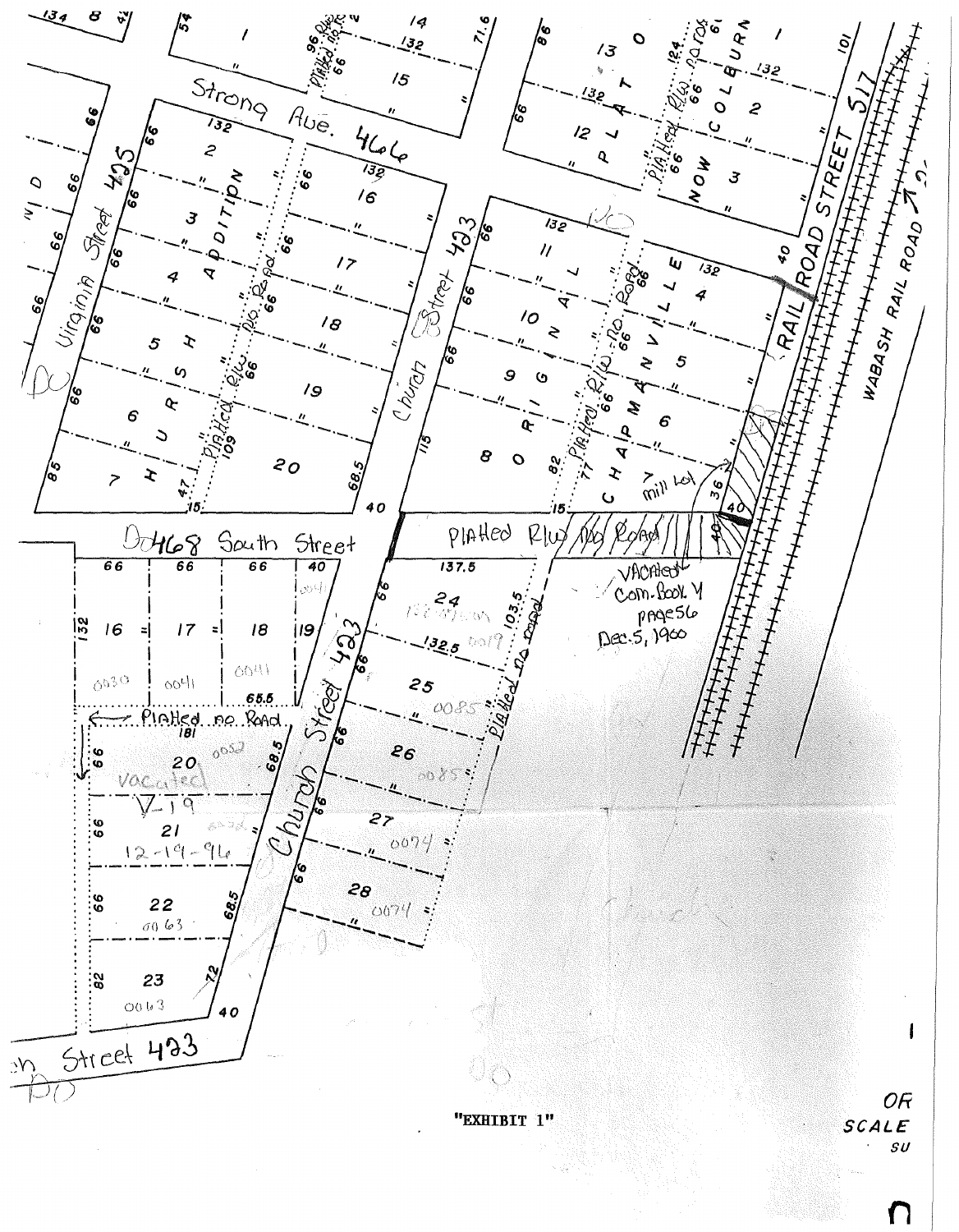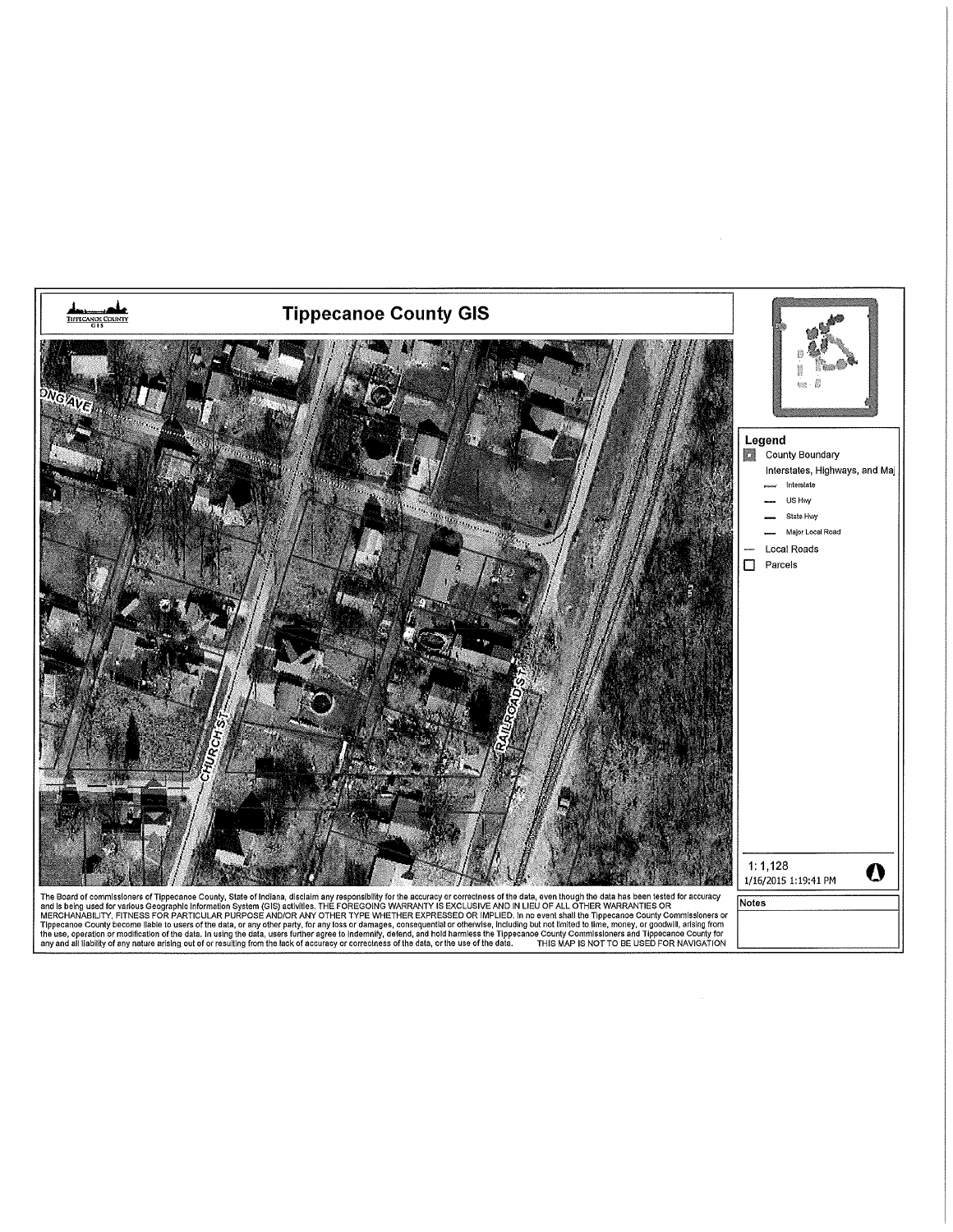

The Board of commissioners of Tippecanoe County, State of Indiana, disclaim any responsibility for the accuracy or correctness of the data, even though the data has been tested for accuracy<br>and is being used for various Ge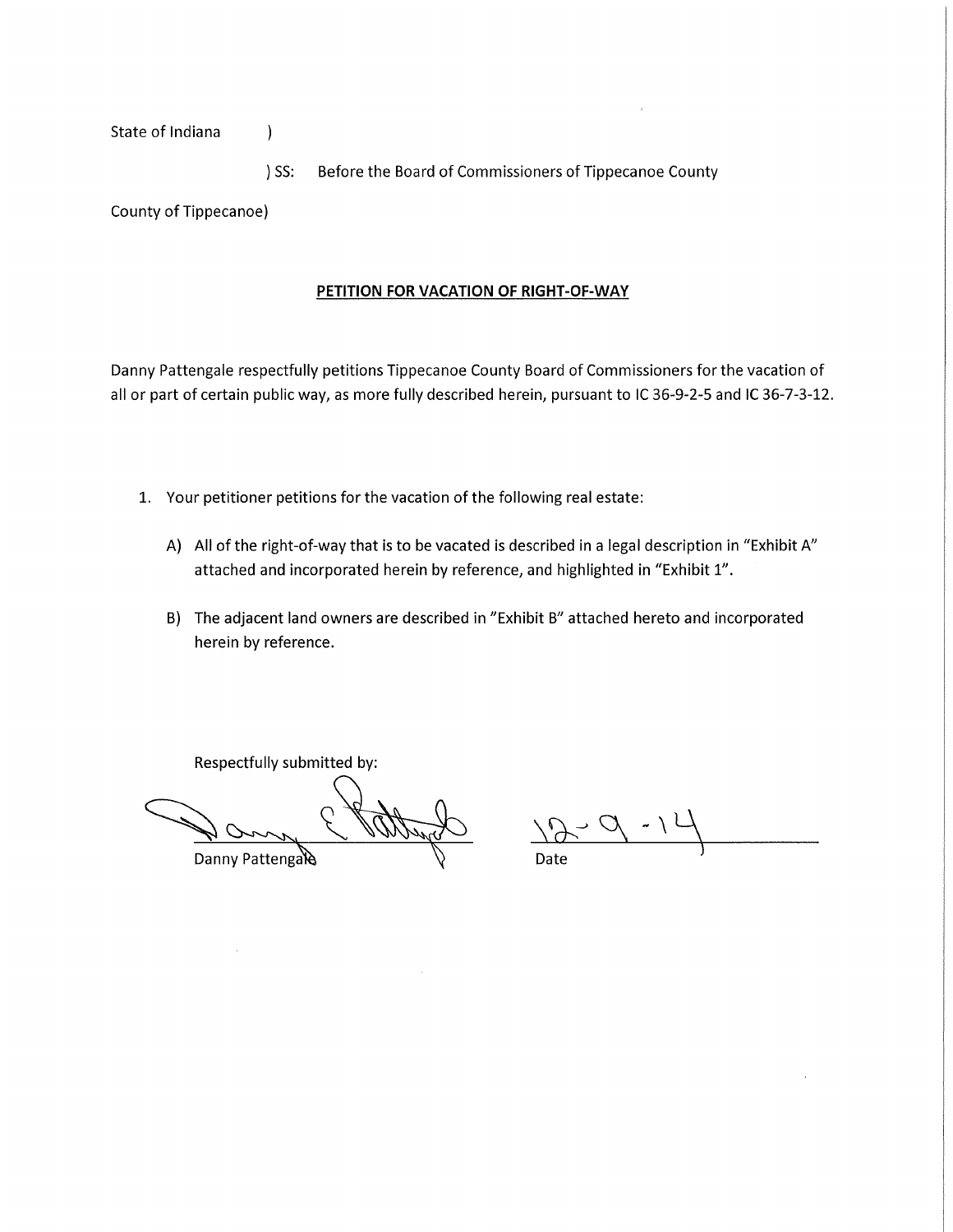State of Indiana

 $\left( \right)$ 

) SS: Before the Board of Commissioners of Tippecanoe County

County of Tippecanoe)

### **PETITION FOR VACATION OF RIGHT-OF-WAY**

Danny Pattengale respectfully petitions Tippecanoe County Board of Commissioners for the vacation of all or part of certain public way, as more fully described herein, pursuant to IC 36-9-2-5 and IC 36-7-3-12.

- 1. Your petitioner petitions for the vacation of the following real estate:
	- A) All of the right-of-way that is to be vacated is described in a legal description in "Exhibit A" attached and incorporated herein by reference, and highlighted in "Exhibit 1".
	- B) The adjacent land owners are described in "Exhibit B" attached hereto and incorporated herein by reference.

Respectfully submitted by:

Danny Pattengale

Date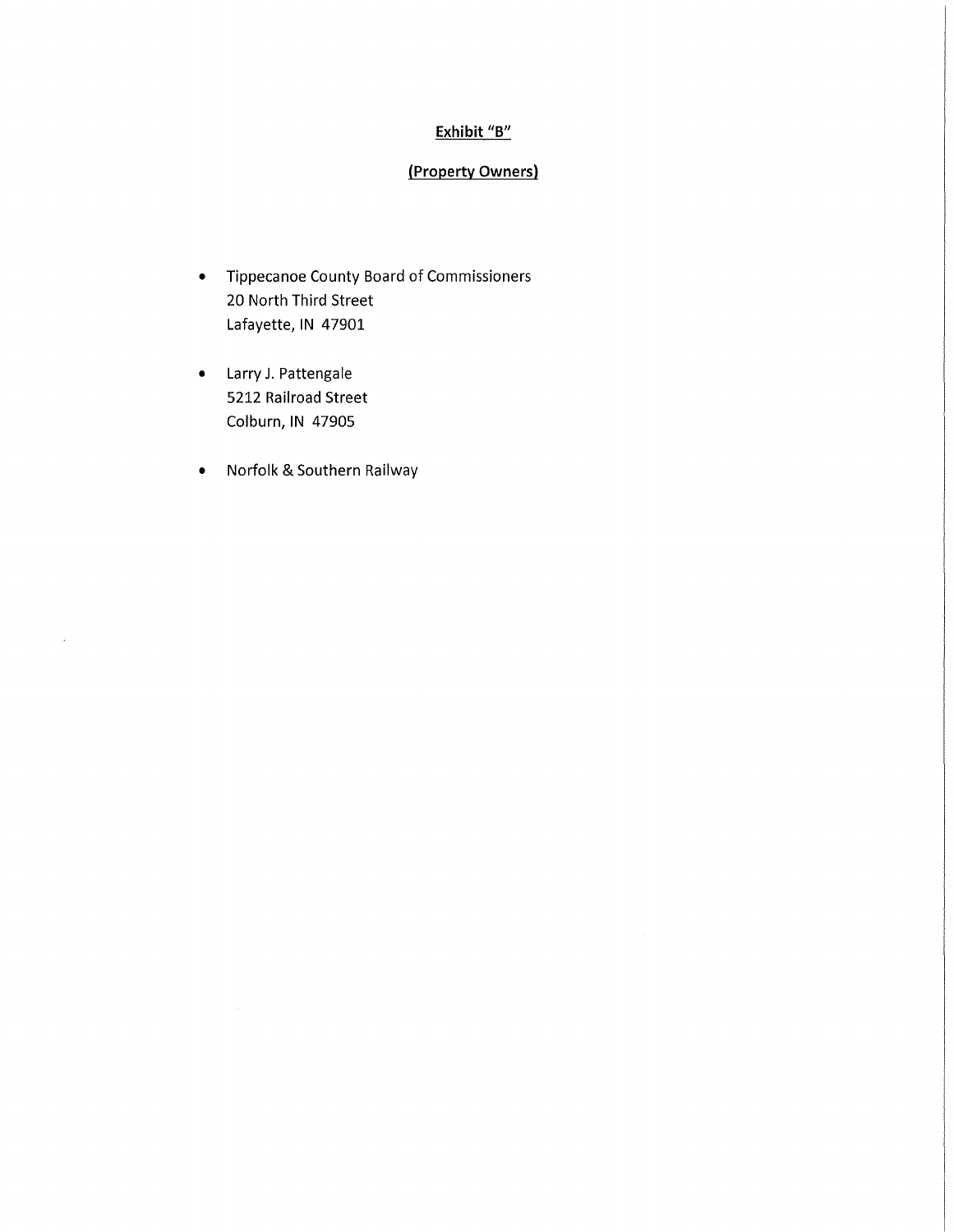# **Exhibit "B"**

## **(Property Owners)**

- Tippecanoe County Board of Commissioners 20 North Third Street Lafayette, IN 47901
- Larry J. Pattengale 5212 Railroad Street Colburn, IN 47905

 $\bar{z}$ 

• Norfolk & Southern Railway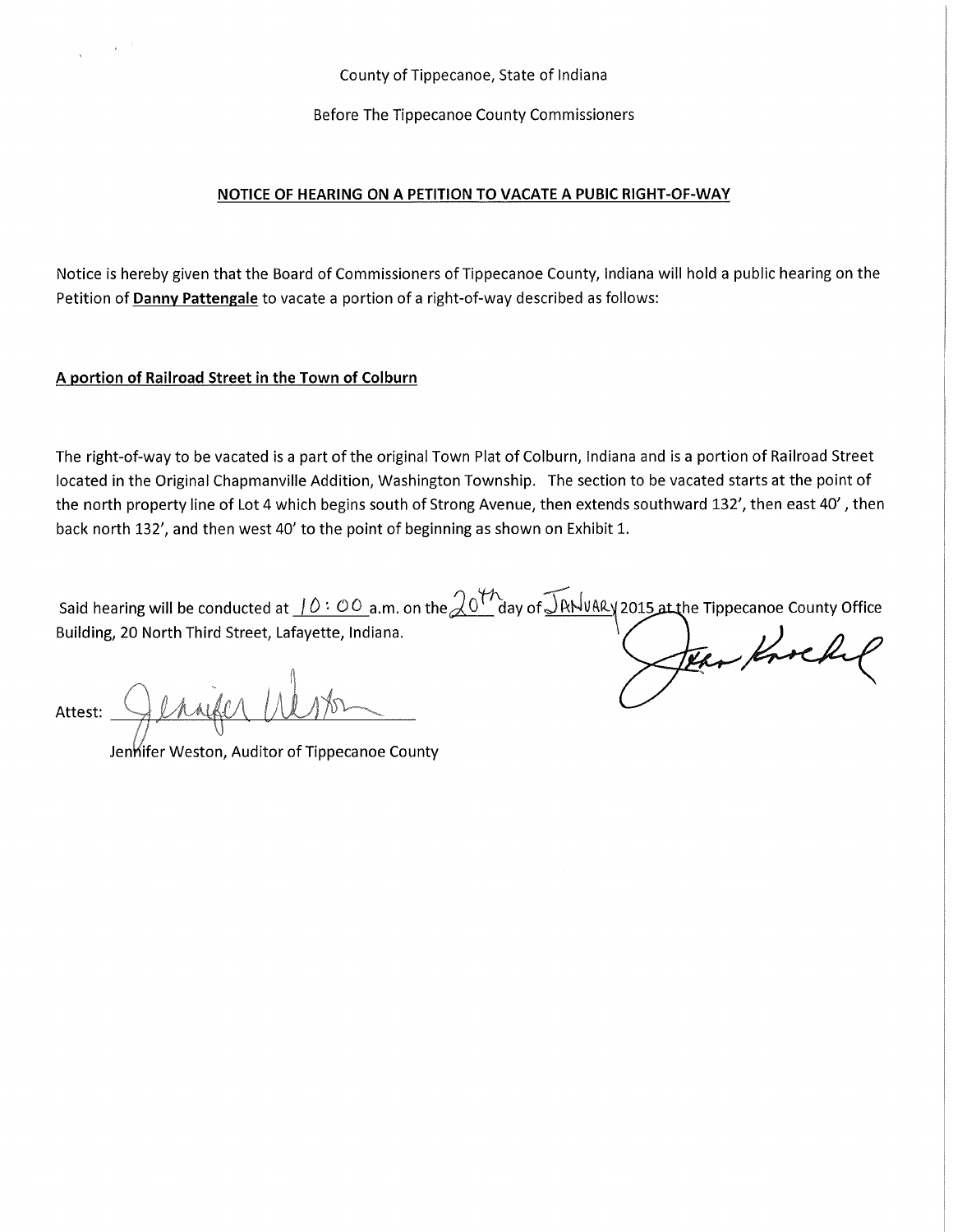County of Tippecanoe, State of Indiana

Before The Tippecanoe County Commissioners

## **NOTICE OF HEARING ON A PETITION TO VACATE A PUBIC RIGHT-OF-WAY**

Notice is hereby given that the Board of Commissioners of Tippecanoe County, Indiana will hold a public hearing on the Petition of **Danny Pattengale** to vacate a portion of a right-of-way described as follows:

## **A portion of Railroad Street in the Town of Colburn**

The right-of-way to be vacated is a part of the original Town Plat of Colburn, Indiana and is a portion of Railroad Street located in the Original Chapmanville Addition, Washington Township. The section to be vacated starts at the point of the north property line of Lot 4 which begins south of Strong Avenue, then extends southward 132', then east 40', then back north 132', and then west 40' to the point of beginning as shown on Exhibit 1.

Said hearing will be conducted at  $10:00$  a.m. on the  $20<sup>th</sup>$  day of  $J$ AN<sub>VAR-Y</sub> 2015 at the Tippecanoe County Office Building, 20 North Third Street, Lafayette, Indiana. \ **1,)** ~ /) *p* 

Attest:

Jenhifer Weston, Auditor of Tippecanoe County

tear Knoche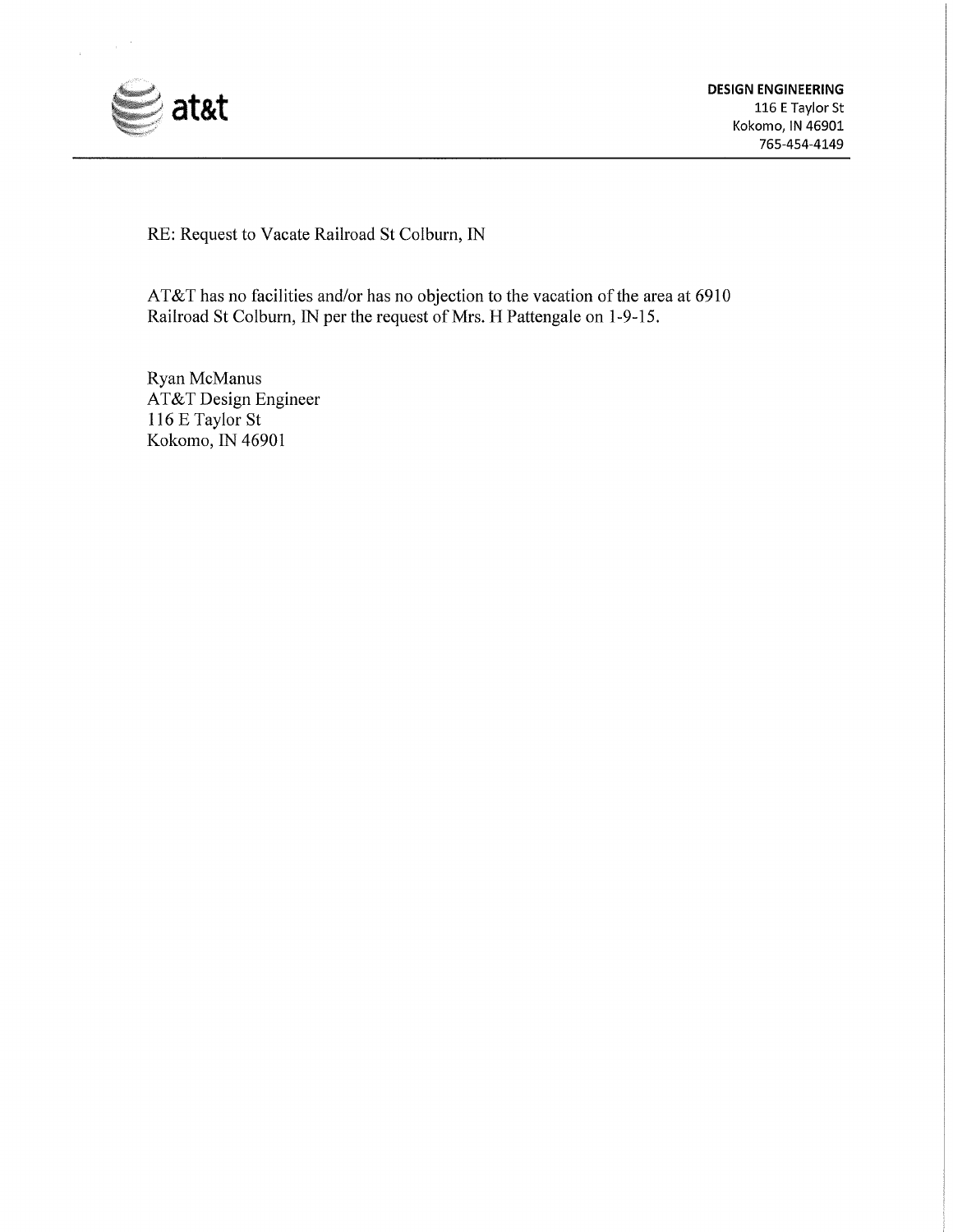

 $\hat{\boldsymbol{\epsilon}}$ 

RE: Request to Vacate Railroad St Colburn, IN

AT&T has no facilities and/or has no objection to the vacation of the area at 6910 Railroad St Colburn, IN per the request of Mrs. H Pattengale on 1-9-15.

Ryan McManus AT&T Design Engineer 116 E Taylor St Kokomo, IN 46901